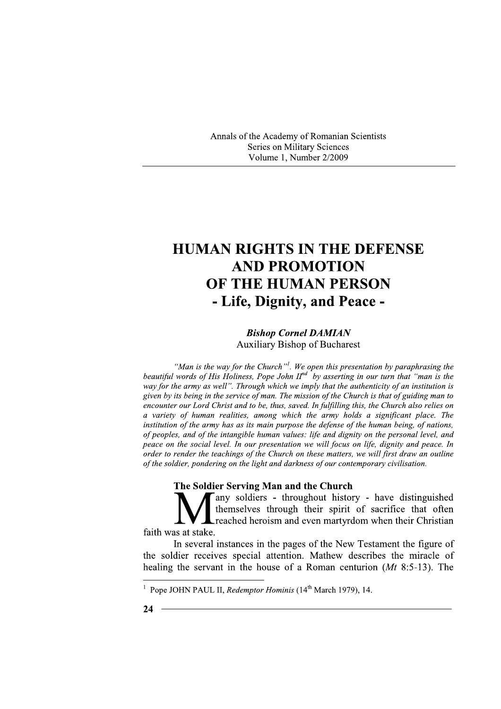Annals of the Academy of Romanian Scientists Series on Military Sciences Volume 1, Number 2/2009

# **HUMAN RIGHTS IN THE DEFENSE AND PROMOTION** OF THE HUMAN PERSON - Life, Dignity, and Peace -

## **Bishop Cornel DAMIAN Auxiliary Bishop of Bucharest**

"Man is the way for the Church"<sup>1</sup>. We open this presentation by paraphrasing the beautiful words of His Holiness, Pope John  $II^{nd}$  by asserting in our turn that "man is the way for the army as well". Through which we imply that the authenticity of an institution is given by its being in the service of man. The mission of the Church is that of guiding man to encounter our Lord Christ and to be, thus, saved. In fulfilling this, the Church also relies on a variety of human realities, among which the army holds a significant place. The institution of the army has as its main purpose the defense of the human being, of nations, of peoples, and of the intangible human values: life and dignity on the personal level, and peace on the social level. In our presentation we will focus on life, dignity and peace. In order to render the teachings of the Church on these matters, we will first draw an outline of the soldier, pondering on the light and darkness of our contemporary civilisation.

#### The Soldier Serving Man and the Church

Tany soldiers - throughout history - have distinguished themselves through their spirit of sacrifice that often reached heroism and even martyrdom when their Christian faith was at stake.

In several instances in the pages of the New Testament the figure of the soldier receives special attention. Mathew describes the miracle of healing the servant in the house of a Roman centurion  $(Mt 8:5-13)$ . The

<sup>&</sup>lt;sup>1</sup> Pope JOHN PAUL II, *Redemptor Hominis* ( $14<sup>th</sup>$  March 1979), 14.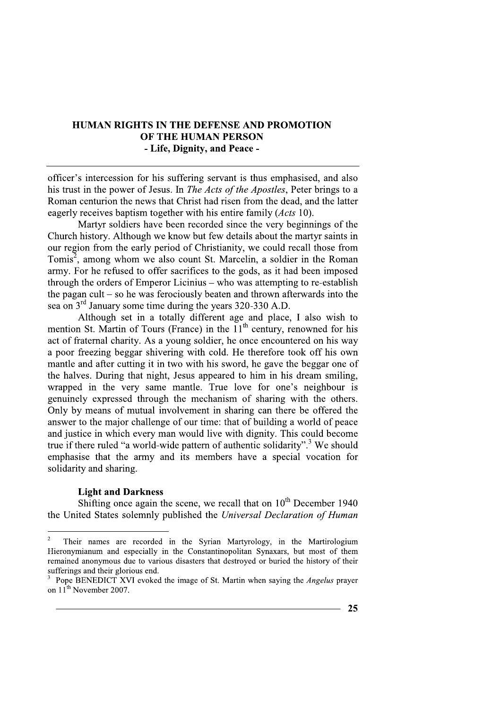## **HUMAN RIGHTS IN THE DEFENSE AND PROMOTION OF THE HUMAN PERSON** - Life, Dignity, and Peace -

officer's intercession for his suffering servant is thus emphasised, and also his trust in the power of Jesus. In The Acts of the Apostles, Peter brings to a Roman centurion the news that Christ had risen from the dead, and the latter eagerly receives baptism together with his entire family (*Acts* 10).

Martyr soldiers have been recorded since the very beginnings of the Church history. Although we know but few details about the martyr saints in our region from the early period of Christianity, we could recall those from Tomis<sup>2</sup>, among whom we also count St. Marcelin, a soldier in the Roman army. For he refused to offer sacrifices to the gods, as it had been imposed through the orders of Emperor Licinius – who was attempting to re-establish the pagan cult  $-$  so he was ferociously beaten and thrown afterwards into the sea on  $3<sup>rd</sup>$  January some time during the years 320-330 A.D.

Although set in a totally different age and place, I also wish to mention St. Martin of Tours (France) in the  $11<sup>th</sup>$  century, renowned for his act of fraternal charity. As a young soldier, he once encountered on his way a poor freezing beggar shivering with cold. He therefore took off his own mantle and after cutting it in two with his sword, he gave the beggar one of the halves. During that night, Jesus appeared to him in his dream smiling, wrapped in the very same mantle. True love for one's neighbour is genuinely expressed through the mechanism of sharing with the others. Only by means of mutual involvement in sharing can there be offered the answer to the major challenge of our time: that of building a world of peace and justice in which every man would live with dignity. This could become true if there ruled "a world-wide pattern of authentic solidarity".<sup>3</sup> We should emphasise that the army and its members have a special vocation for solidarity and sharing.

#### **Light and Darkness**

Shifting once again the scene, we recall that on  $10^{th}$  December 1940 the United States solemnly published the Universal Declaration of Human

 $\sqrt{2}$ Their names are recorded in the Syrian Martyrology, in the Martirologium Hieronymianum and especially in the Constantinopolitan Synaxars, but most of them remained anonymous due to various disasters that destroyed or buried the history of their sufferings and their glorious end.

Pope BENEDICT XVI evoked the image of St. Martin when saying the *Angelus* prayer on 11<sup>th</sup> November 2007.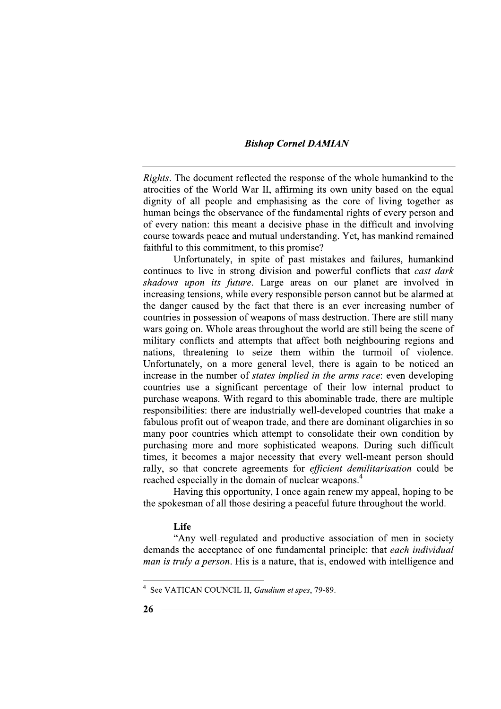## **Bishop Cornel DAMIAN**

Rights. The document reflected the response of the whole humankind to the atrocities of the World War II, affirming its own unity based on the equal dignity of all people and emphasising as the core of living together as human beings the observance of the fundamental rights of every person and of every nation: this meant a decisive phase in the difficult and involving course towards peace and mutual understanding. Yet, has mankind remained faithful to this commitment, to this promise?

Unfortunately, in spite of past mistakes and failures, humankind continues to live in strong division and powerful conflicts that *cast dark* shadows upon its future. Large areas on our planet are involved in increasing tensions, while every responsible person cannot but be alarmed at the danger caused by the fact that there is an ever increasing number of countries in possession of weapons of mass destruction. There are still many wars going on. Whole areas throughout the world are still being the scene of military conflicts and attempts that affect both neighbouring regions and nations, threatening to seize them within the turmoil of violence. Unfortunately, on a more general level, there is again to be noticed an increase in the number of *states implied in the arms race*: even developing countries use a significant percentage of their low internal product to purchase weapons. With regard to this abominable trade, there are multiple responsibilities: there are industrially well-developed countries that make a fabulous profit out of weapon trade, and there are dominant oligarchies in so many poor countries which attempt to consolidate their own condition by purchasing more and more sophisticated weapons. During such difficult times, it becomes a major necessity that every well-meant person should rally, so that concrete agreements for *efficient demilitarisation* could be reached especially in the domain of nuclear weapons.<sup>4</sup>

Having this opportunity, I once again renew my appeal, hoping to be the spokesman of all those desiring a peaceful future throughout the world.

#### Life

"Any well-regulated and productive association of men in society demands the acceptance of one fundamental principle: that each individual *man is truly a person.* His is a nature, that is, endowed with intelligence and

<sup>&</sup>lt;sup>4</sup> See VATICAN COUNCIL II, *Gaudium et spes*, 79-89.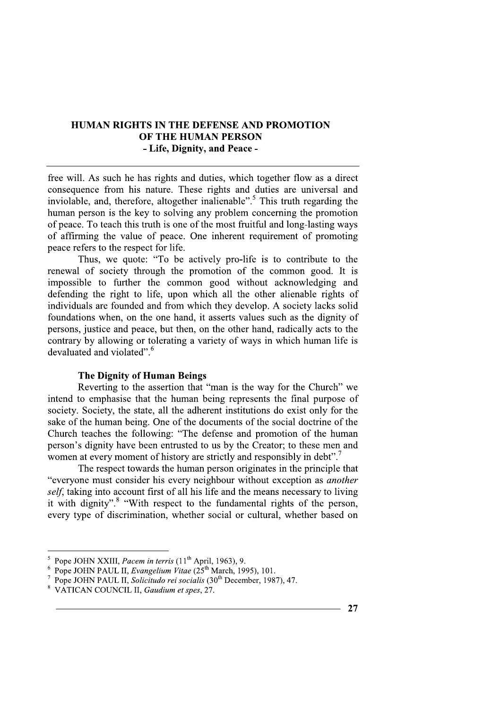# **HUMAN RIGHTS IN THE DEFENSE AND PROMOTION** OF THE HUMAN PERSON - Life, Dignity, and Peace -

free will. As such he has rights and duties, which together flow as a direct consequence from his nature. These rights and duties are universal and inviolable, and, therefore, altogether inalienable".<sup>5</sup> This truth regarding the human person is the key to solving any problem concerning the promotion of peace. To teach this truth is one of the most fruitful and long-lasting ways of affirming the value of peace. One inherent requirement of promoting peace refers to the respect for life.

Thus, we quote: "To be actively pro-life is to contribute to the renewal of society through the promotion of the common good. It is impossible to further the common good without acknowledging and defending the right to life, upon which all the other alienable rights of individuals are founded and from which they develop. A society lacks solid foundations when, on the one hand, it asserts values such as the dignity of persons, justice and peace, but then, on the other hand, radically acts to the contrary by allowing or tolerating a variety of ways in which human life is devaluated and violated".<sup>6</sup>

### **The Dignity of Human Beings**

Reverting to the assertion that "man is the way for the Church" we intend to emphasise that the human being represents the final purpose of society. Society, the state, all the adherent institutions do exist only for the sake of the human being. One of the documents of the social doctrine of the Church teaches the following: "The defense and promotion of the human person's dignity have been entrusted to us by the Creator; to these men and women at every moment of history are strictly and responsibly in debt".

The respect towards the human person originates in the principle that "everyone must consider his every neighbour without exception as *another* self, taking into account first of all his life and the means necessary to living it with dignity".<sup>8</sup> "With respect to the fundamental rights of the person, every type of discrimination, whether social or cultural, whether based on

<sup>&</sup>lt;sup>5</sup> Pope JOHN XXIII, *Pacem in terris* (11<sup>th</sup> April, 1963), 9.

<sup>&</sup>lt;sup>6</sup> Pope JOHN PAUL II, Evangelium Vitae ( $25<sup>th</sup>$  March, 1995), 101.

Pope JOHN PAUL II, Solicitudo rei socialis (30<sup>th</sup> December, 1987), 47.

<sup>&</sup>lt;sup>8</sup> VATICAN COUNCIL II, Gaudium et spes, 27.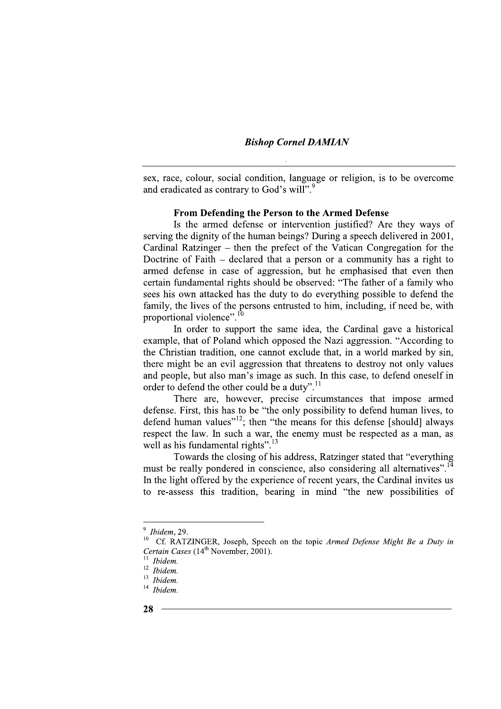#### **Bishop Cornel DAMIAN**

sex, race, colour, social condition, language or religion, is to be overcome and eradicated as contrary to God's will".<sup>9</sup>

#### From Defending the Person to the Armed Defense

Is the armed defense or intervention justified? Are they ways of serving the dignity of the human beings? During a speech delivered in 2001. Cardinal Ratzinger – then the prefect of the Vatican Congregation for the Doctrine of Faith  $-$  declared that a person or a community has a right to armed defense in case of aggression, but he emphasised that even then certain fundamental rights should be observed: "The father of a family who sees his own attacked has the duty to do everything possible to defend the family, the lives of the persons entrusted to him, including, if need be, with proportional violence".<sup>10</sup>

In order to support the same idea, the Cardinal gave a historical example, that of Poland which opposed the Nazi aggression. "According to the Christian tradition, one cannot exclude that, in a world marked by sin, there might be an evil aggression that threatens to destroy not only values and people, but also man's image as such. In this case, to defend oneself in order to defend the other could be a duty".<sup>11</sup>

There are, however, precise circumstances that impose armed defense. First, this has to be "the only possibility to defend human lives, to  $\frac{1}{2}$  defend human values<sup>"12</sup>; then "the means for this defense [should] always respect the law. In such a war, the enemy must be respected as a man, as well as his fundamental rights".<sup>13</sup>

Towards the closing of his address, Ratzinger stated that "everything must be really pondered in conscience, also considering all alternatives".<sup>14</sup> In the light offered by the experience of recent years, the Cardinal invites us to re-assess this tradition, bearing in mind "the new possibilities of

 $9$  Ibidem, 29.

 $10\,$ Cf. RATZINGER, Joseph, Speech on the topic Armed Defense Might Be a Duty in Certain Cases (14<sup>th</sup> November, 2001).

Ibidem.

 $12$  *Ibidem.* 

 $13$  *Ibidem.* 

 $14$  Ibidem.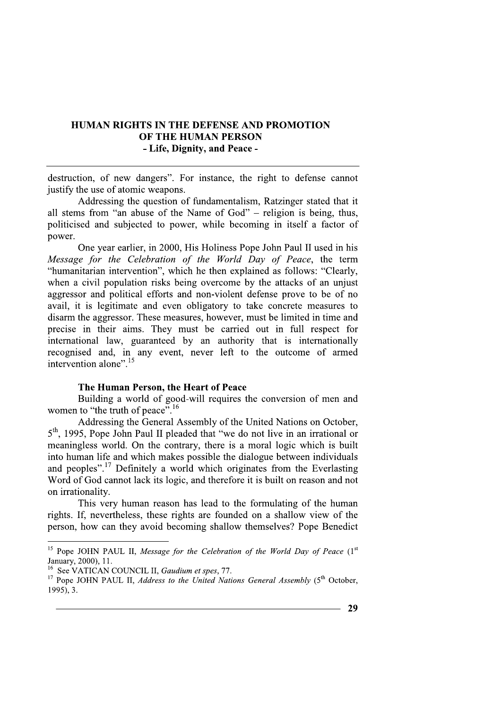# **HUMAN RIGHTS IN THE DEFENSE AND PROMOTION** OF THE HUMAN PERSON - Life, Dignity, and Peace -

destruction, of new dangers". For instance, the right to defense cannot justify the use of atomic weapons.

Addressing the question of fundamentalism, Ratzinger stated that it all stems from "an abuse of the Name of God" – religion is being, thus, politicised and subjected to power, while becoming in itself a factor of power.

One vear earlier, in 2000, His Holiness Pope John Paul II used in his Message for the Celebration of the World Day of Peace, the term "humanitarian intervention", which he then explained as follows: "Clearly, when a civil population risks being overcome by the attacks of an unjust aggressor and political efforts and non-violent defense prove to be of no avail, it is legitimate and even obligatory to take concrete measures to disarm the aggressor. These measures, however, must be limited in time and precise in their aims. They must be carried out in full respect for international law, guaranteed by an authority that is internationally recognised and, in any event, never left to the outcome of armed intervention alone".<sup>15</sup>

#### The Human Person, the Heart of Peace

Building a world of good-will requires the conversion of men and women to "the truth of peace".<sup>16</sup>

Addressing the General Assembly of the United Nations on October, 5<sup>th</sup>, 1995, Pope John Paul II pleaded that "we do not live in an irrational or meaningless world. On the contrary, there is a moral logic which is built into human life and which makes possible the dialogue between individuals and peoples".<sup>17</sup> Definitely a world which originates from the Everlasting Word of God cannot lack its logic, and therefore it is built on reason and not on irrationality.

This very human reason has lead to the formulating of the human rights. If, nevertheless, these rights are founded on a shallow view of the person, how can they avoid becoming shallow themselves? Pope Benedict

<sup>&</sup>lt;sup>15</sup> Pope JOHN PAUL II, Message for the Celebration of the World Day of Peace  $(1<sup>st</sup>$ January, 2000), 11.

<sup>&</sup>lt;sup>16</sup> See VATICAN COUNCIL II, *Gaudium et spes*, 77.

<sup>&</sup>lt;sup>17</sup> Pope JOHN PAUL II, *Address to the United Nations General Assembly* (5<sup>th</sup> October, 1995), 3.